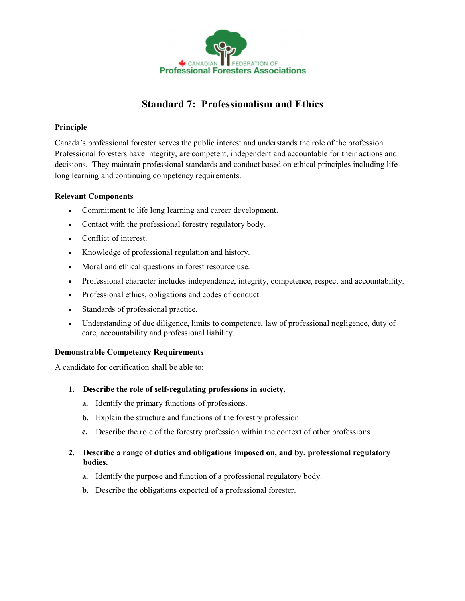

# **Standard 7: Professionalism and Ethics**

## **Principle**

Canada's professional forester serves the public interest and understands the role of the profession. Professional foresters have integrity, are competent, independent and accountable for their actions and decisions. They maintain professional standards and conduct based on ethical principles including lifelong learning and continuing competency requirements.

### **Relevant Components**

- · Commitment to life long learning and career development.
- · Contact with the professional forestry regulatory body.
- · Conflict of interest.
- · Knowledge of professional regulation and history.
- · Moral and ethical questions in forest resource use.
- · Professional character includes independence, integrity, competence, respect and accountability.
- · Professional ethics, obligations and codes of conduct.
- · Standards of professional practice.
- · Understanding of due diligence, limits to competence, law of professional negligence, duty of care, accountability and professional liability.

### **Demonstrable Competency Requirements**

A candidate for certification shall be able to:

- 1. Describe the role of self-regulating professions in society.
	- **a.** Identify the primary functions of professions.
	- **b.** Explain the structure and functions of the forestry profession
	- **c.** Describe the role of the forestry profession within the context of other professions.

### **2. Describe a range of duties and obligations imposed on, and by, professional regulatory bodies.**

- **a.** Identify the purpose and function of a professional regulatory body.
- **b.** Describe the obligations expected of a professional forester.